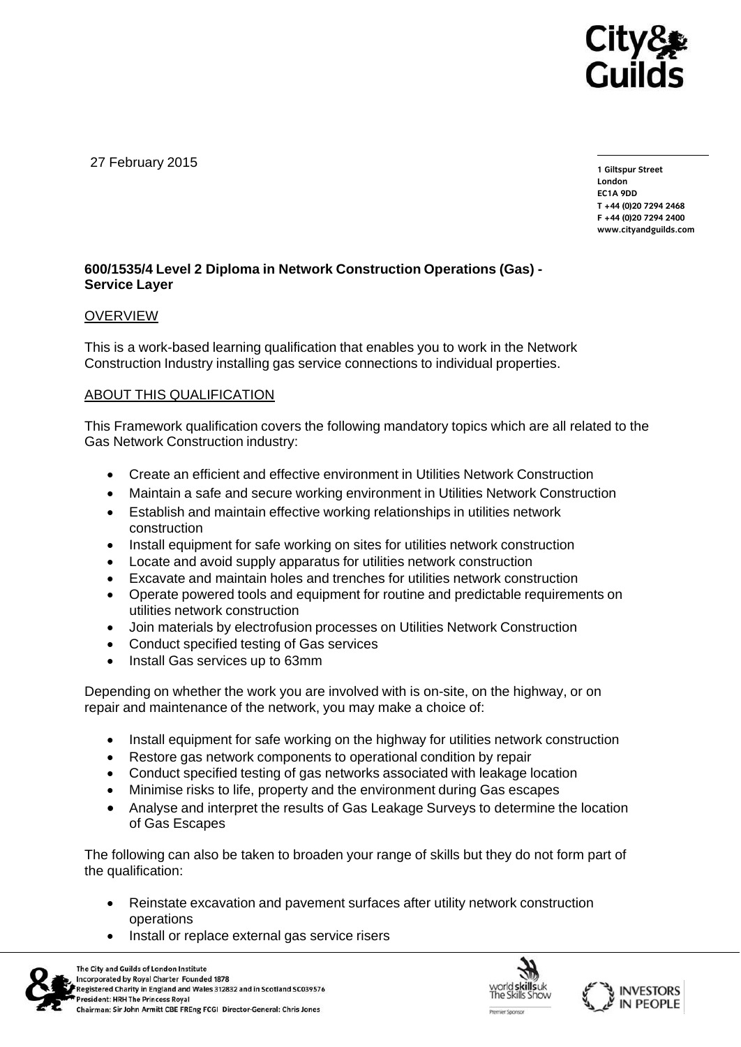

27 February 2015

**1 Giltspur Street EC1A 9DD** T +44 (0)20 7294 2468 **T +44 (0)20 7294 246[8](http://www.cityandguilds.com/)** www.citvandguilds.com **[www.cityandguilds.com](http://www.cityandguilds.com/)**

# **600/1535/4 Level 2 Diploma in Network Construction Operations (Gas) - Service Layer**

## OVERVIEW

This is a work-based learning qualification that enables you to work in the Network Construction Industry installing gas service connections to individual properties.

# ABOUT THIS QUALIFICATION

This Framework qualification covers the following mandatory topics which are all related to the Gas Network Construction industry:

- Create an efficient and effective environment in Utilities Network Construction
- Maintain a safe and secure working environment in Utilities Network Construction
- Establish and maintain effective working relationships in utilities network construction
- Install equipment for safe working on sites for utilities network construction
- Locate and avoid supply apparatus for utilities network construction
- Excavate and maintain holes and trenches for utilities network construction
- Operate powered tools and equipment for routine and predictable requirements on utilities network construction
- Join materials by electrofusion processes on Utilities Network Construction
- Conduct specified testing of Gas services
- Install Gas services up to 63mm

Depending on whether the work you are involved with is on-site, on the highway, or on repair and maintenance of the network, you may make a choice of:

- Install equipment for safe working on the highway for utilities network construction
- Restore gas network components to operational condition by repair
- Conduct specified testing of gas networks associated with leakage location
- Minimise risks to life, property and the environment during Gas escapes
- Analyse and interpret the results of Gas Leakage Surveys to determine the location of Gas Escapes

The following can also be taken to broaden your range of skills but they do not form part of the qualification:

- Reinstate excavation and pavement surfaces after utility network construction operations
- Install or replace external gas service risers





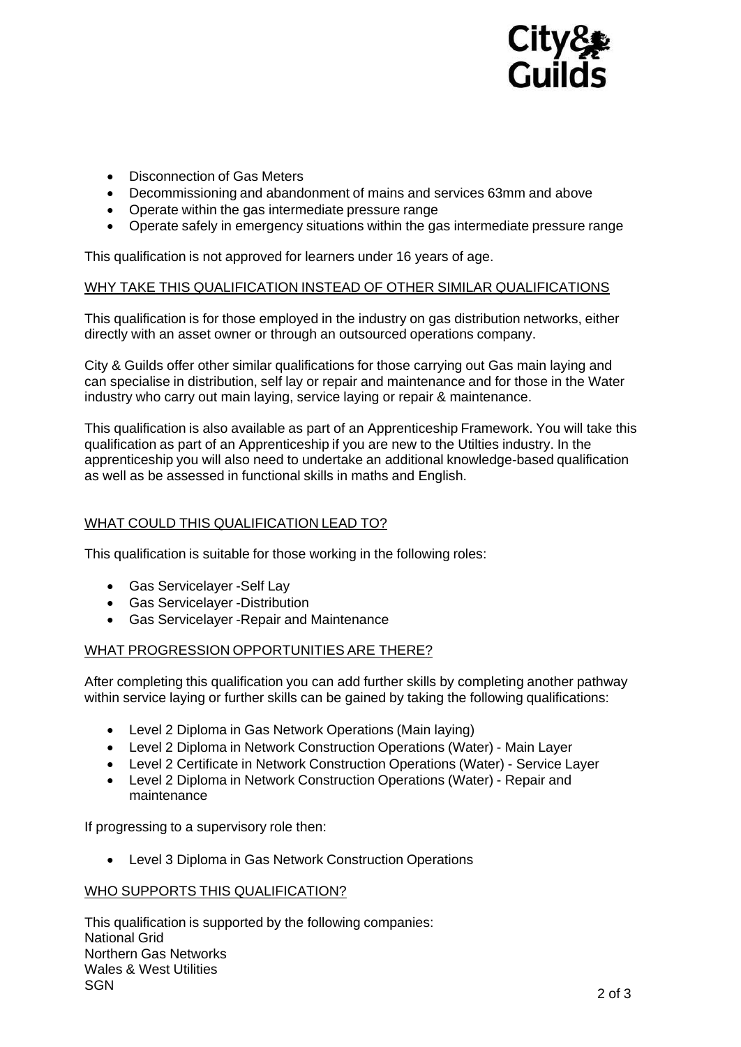

- Disconnection of Gas Meters
- Decommissioning and abandonment of mains and services 63mm and above
- Operate within the gas intermediate pressure range
- Operate safely in emergency situations within the gas intermediate pressure range

This qualification is not approved for learners under 16 years of age.

## WHY TAKE THIS QUALIFICATION INSTEAD OF OTHER SIMILAR QUALIFICATIONS

This qualification is for those employed in the industry on gas distribution networks, either directly with an asset owner or through an outsourced operations company.

City & Guilds offer other similar qualifications for those carrying out Gas main laying and can specialise in distribution, self lay or repair and maintenance and for those in the Water industry who carry out main laying, service laying or repair & maintenance.

This qualification is also available as part of an Apprenticeship Framework. You will take this qualification as part of an Apprenticeship if you are new to the Utilties industry. In the apprenticeship you will also need to undertake an additional knowledge-based qualification as well as be assessed in functional skills in maths and English.

# WHAT COULD THIS QUALIFICATION LEAD TO?

This qualification is suitable for those working in the following roles:

- Gas Servicelayer -Self Lay
- Gas Servicelayer -Distribution
- Gas Servicelayer -Repair and Maintenance

## WHAT PROGRESSION OPPORTUNITIES ARE THERE?

After completing this qualification you can add further skills by completing another pathway within service laying or further skills can be gained by taking the following qualifications:

- Level 2 Diploma in Gas Network Operations (Main laying)
- Level 2 Diploma in Network Construction Operations (Water) Main Layer
- Level 2 Certificate in Network Construction Operations (Water) Service Layer
- Level 2 Diploma in Network Construction Operations (Water) Repair and maintenance

If progressing to a supervisory role then:

Level 3 Diploma in Gas Network Construction Operations

### WHO SUPPORTS THIS QUALIFICATION?

This qualification is supported by the following companies: National Grid Northern Gas Networks Wales & West Utilities SGN 2 of 3